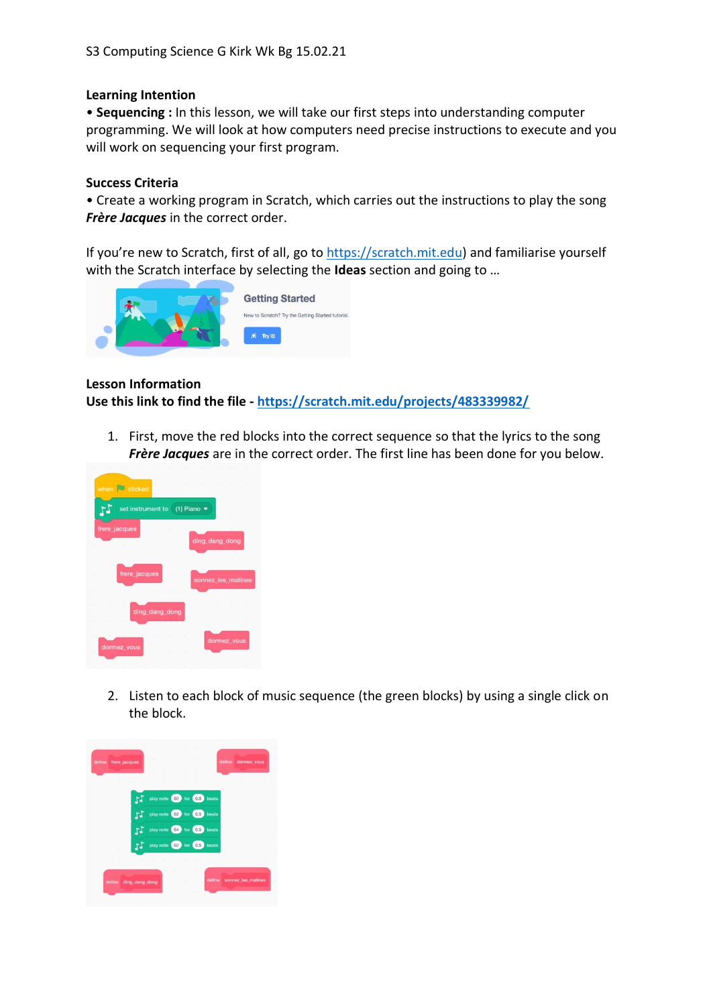## **Learning Intention**

• **Sequencing :** In this lesson, we will take our first steps into understanding computer programming. We will look at how computers need precise instructions to execute and you will work on sequencing your first program.

## **Success Criteria**

• Create a working program in Scratch, which carries out the instructions to play the song *Frère Jacques* in the correct order.

If you're new to Scratch, first of all, go to [https://scratch.mit.edu\)](https://scratch.mit.edu/) and familiarise yourself with the Scratch interface by selecting the **Ideas** section and going to …



## **Lesson Information**

**Use this link to find the file - <https://scratch.mit.edu/projects/483339982/>**

1. First, move the red blocks into the correct sequence so that the lyrics to the song *Frère Jacques* are in the correct order. The first line has been done for you below.



2. Listen to each block of music sequence (the green blocks) by using a single click on the block.